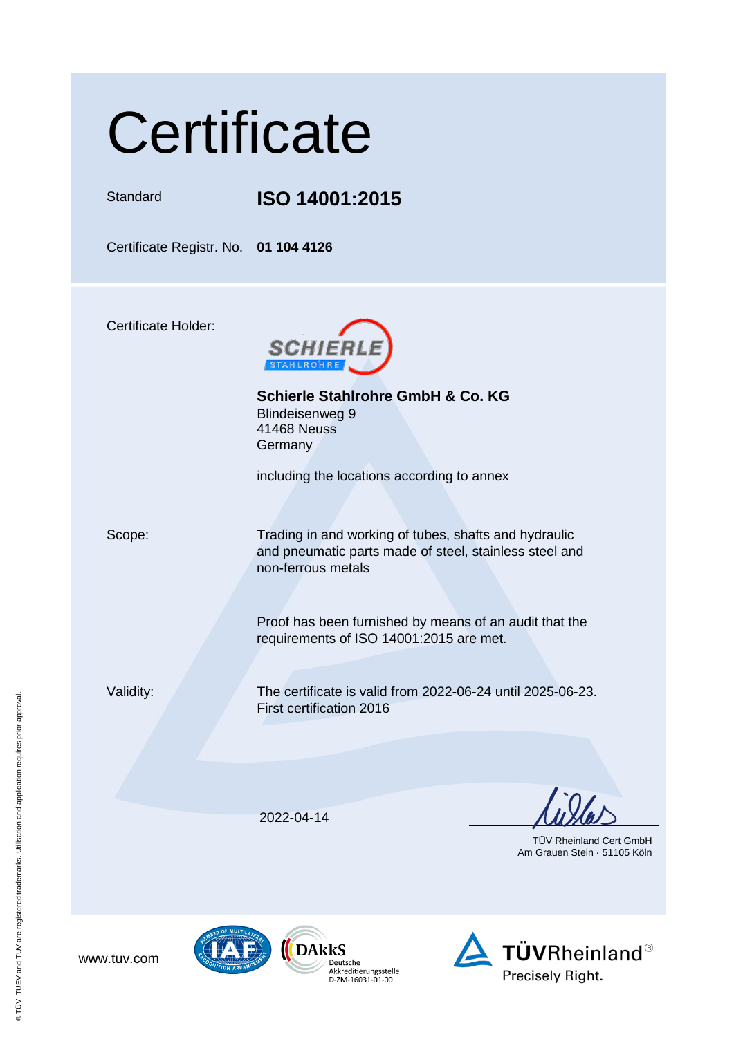## **Certificate**

Standard **ISO 14001:2015**

Certificate Registr. No. **01 104 4126**

Certificate Holder:



**Schierle Stahlrohre GmbH & Co. KG** Blindeisenweg 9 41468 Neuss **Germany** 

including the locations according to annex

Scope: Trading in and working of tubes, shafts and hydraulic and pneumatic parts made of steel, stainless steel and non-ferrous metals

> Proof has been furnished by means of an audit that the requirements of ISO 14001:2015 are met.

Validity: The certificate is valid from 2022-06-24 until 2025-06-23. First certification 2016

2022-04-14

 TÜV Rheinland Cert GmbH Am Grauen Stein · 51105 Köln

www.tuv.com